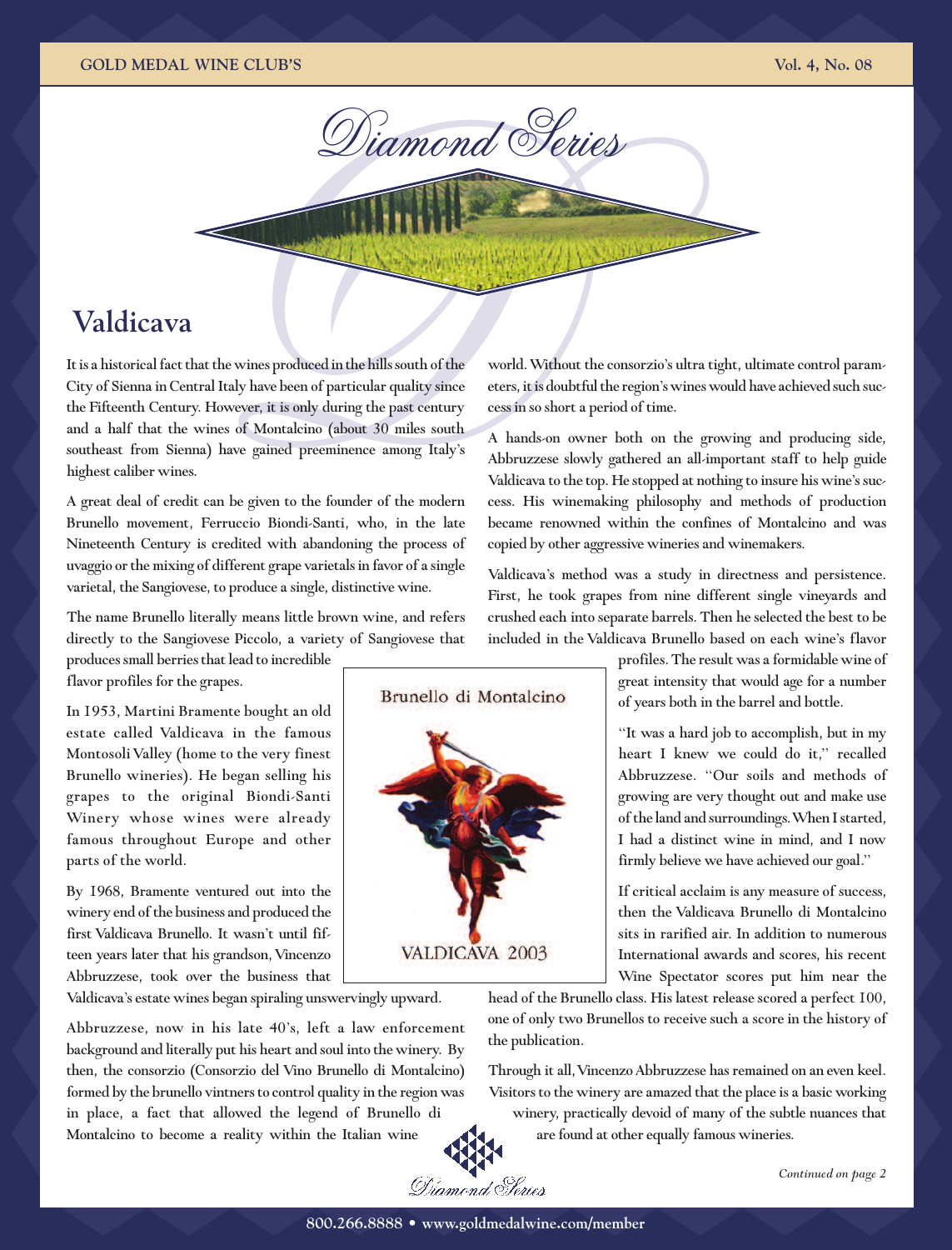

Brunello di Montalcino

**VALDICAVA 2003** 

## **Valdicava**

It is a historical fact that the wines produced in the hills south of the City of Sienna in Central Italy have been of particular quality since the Fifteenth Century. However, it is only during the past century and a half that the wines of Montalcino (about 30 miles south southeast from Sienna) have gained preeminence among Italy's highest caliber wines.

A great deal of credit can be given to the founder of the modern Brunello movement, Ferruccio Biondi-Santi, who, in the late Nineteenth Century is credited with abandoning the process of uvaggio or the mixing of different grape varietals in favor of a single varietal, the Sangiovese, to produce a single, distinctive wine.

The name Brunello literally means little brown wine, and refers directly to the Sangiovese Piccolo, a variety of Sangiovese that

produces small berries that lead to incredible flavor profiles for the grapes.

In 1953, Martini Bramente bought an old estate called Valdicava in the famous Montosoli Valley (home to the very finest Brunello wineries). He began selling his grapes to the original Biondi-Santi Winery whose wines were already famous throughout Europe and other parts of the world.

By 1968, Bramente ventured out into the winery end of the business and produced the first Valdicava Brunello. It wasn't until fifteen years later that his grandson, Vincenzo Abbruzzese, took over the business that

Valdicava's estate wines began spiraling unswervingly upward.

Abbruzzese, now in his late 40's, left a law enforcement background and literally put his heart and soul into the winery. By then, the consorzio (Consorzio del Vino Brunello di Montalcino) formed by the brunello vintners to control quality in the region was in place, a fact that allowed the legend of Brunello di Montalcino to become a reality within the Italian wine

world. Without the consorzio's ultra tight, ultimate control parameters, it is doubtful the region's wines would have achieved such success in so short a period of time.

A hands-on owner both on the growing and producing side, Abbruzzese slowly gathered an all-important staff to help guide Valdicava to the top. He stopped at nothing to insure his wine's success. His winemaking philosophy and methods of production became renowned within the confines of Montalcino and was copied by other aggressive wineries and winemakers.

Valdicava's method was a study in directness and persistence. First, he took grapes from nine different single vineyards and crushed each into separate barrels. Then he selected the best to be included in the Valdicava Brunello based on each wine's flavor

> profiles.The result was a formidable wine of great intensity that would age for a number of years both in the barrel and bottle.

> "It was a hard job to accomplish, but in my heart I knew we could do it," recalled Abbruzzese. "Our soils and methods of growing are very thought out and make use of the land and surroundings. When I started, I had a distinct wine in mind, and I now firmly believe we have achieved our goal."

> If critical acclaim is any measure of success, then the Valdicava Brunello di Montalcino sits in rarified air. In addition to numerous International awards and scores, his recent Wine Spectator scores put him near the

head of the Brunello class. His latest release scored a perfect 100, one of only two Brunellos to receive such a score in the history of the publication.

Through it all, Vincenzo Abbruzzese has remained on an even keel. Visitors to the winery are amazed that the place is a basic working winery, practically devoid of many of the subtle nuances that are found at other equally famous wineries.